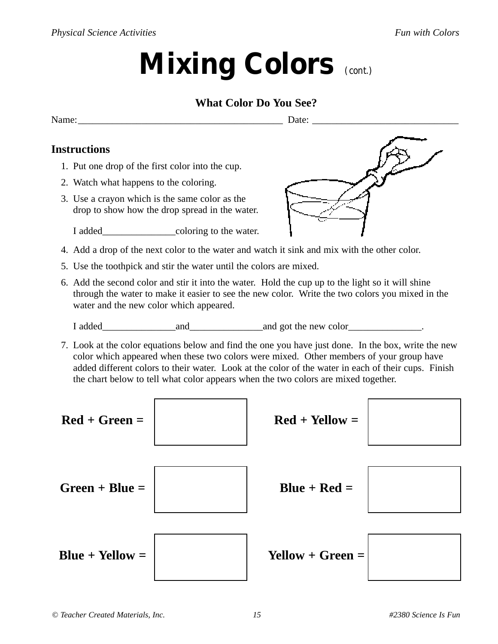# **Mixing Colors** *(cont.)*

#### **What Color Do You See?**

Name:\_\_\_\_\_\_\_\_\_\_\_\_\_\_\_\_\_\_\_\_\_\_\_\_\_\_\_\_\_\_\_\_\_\_\_\_\_\_\_\_\_\_ Date: \_\_\_\_\_\_\_\_\_\_\_\_\_\_\_\_\_\_\_\_\_\_\_\_\_\_\_\_\_\_

### **Instructions**

- 1. Put one drop of the first color into the cup.
- 2. Watch what happens to the coloring.
- 3. Use a crayon which is the same color as the drop to show how the drop spread in the water.

I added coloring to the water.

- 4. Add a drop of the next color to the water and watch it sink and mix with the other color.
- 5. Use the toothpick and stir the water until the colors are mixed.
- 6. Add the second color and stir it into the water. Hold the cup up to the light so it will shine through the water to make it easier to see the new color. Write the two colors you mixed in the water and the new color which appeared.

I added\_\_\_\_\_\_\_\_\_\_\_\_\_\_\_and\_\_\_\_\_\_\_\_\_\_\_\_\_\_\_and got the new color\_\_\_\_\_\_\_\_\_\_\_\_\_\_\_.

7. Look at the color equations below and find the one you have just done. In the box, write the new color which appeared when these two colors were mixed. Other members of your group have added different colors to their water. Look at the color of the water in each of their cups. Finish the chart below to tell what color appears when the two colors are mixed together.